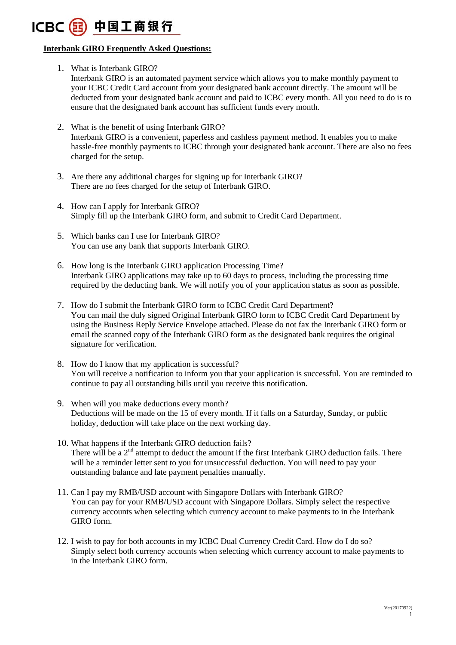## 中国工商银行 **ICBC**

## **Interbank GIRO Frequently Asked Questions:**

- 1. What is Interbank GIRO?
	- Interbank GIRO is an automated payment service which allows you to make monthly payment to your ICBC Credit Card account from your designated bank account directly. The amount will be deducted from your designated bank account and paid to ICBC every month. All you need to do is to ensure that the designated bank account has sufficient funds every month.
- 2. What is the benefit of using Interbank GIRO? Interbank GIRO is a convenient, paperless and cashless payment method. It enables you to make hassle-free monthly payments to ICBC through your designated bank account. There are also no fees charged for the setup.
- 3. Are there any additional charges for signing up for Interbank GIRO? There are no fees charged for the setup of Interbank GIRO.
- 4. How can I apply for Interbank GIRO? Simply fill up the Interbank GIRO form, and submit to Credit Card Department.
- 5. Which banks can I use for Interbank GIRO? You can use any bank that supports Interbank GIRO.
- 6. How long is the Interbank GIRO application Processing Time? Interbank GIRO applications may take up to 60 days to process, including the processing time required by the deducting bank. We will notify you of your application status as soon as possible.
- 7. How do I submit the Interbank GIRO form to ICBC Credit Card Department? You can mail the duly signed Original Interbank GIRO form to ICBC Credit Card Department by using the Business Reply Service Envelope attached. Please do not fax the Interbank GIRO form or email the scanned copy of the Interbank GIRO form as the designated bank requires the original signature for verification.
- 8. How do I know that my application is successful? You will receive a notification to inform you that your application is successful. You are reminded to continue to pay all outstanding bills until you receive this notification.
- 9. When will you make deductions every month? Deductions will be made on the 15 of every month. If it falls on a Saturday, Sunday, or public holiday, deduction will take place on the next working day.
- 10. What happens if the Interbank GIRO deduction fails? There will be a  $2<sup>nd</sup>$  attempt to deduct the amount if the first Interbank GIRO deduction fails. There will be a reminder letter sent to you for unsuccessful deduction. You will need to pay your outstanding balance and late payment penalties manually.
- 11. Can I pay my RMB/USD account with Singapore Dollars with Interbank GIRO? You can pay for your RMB/USD account with Singapore Dollars. Simply select the respective currency accounts when selecting which currency account to make payments to in the Interbank GIRO form.
- 12. I wish to pay for both accounts in my ICBC Dual Currency Credit Card. How do I do so? Simply select both currency accounts when selecting which currency account to make payments to in the Interbank GIRO form.